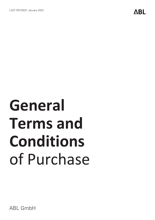# **General Terms and Conditions** of Purchase

ABL GmbH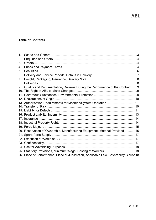# **Table of Contents**

| 1. |                                                                                        |  |
|----|----------------------------------------------------------------------------------------|--|
| 2. |                                                                                        |  |
| 3. |                                                                                        |  |
| 4. |                                                                                        |  |
| 5. |                                                                                        |  |
| 6. |                                                                                        |  |
| 7. |                                                                                        |  |
| 8. |                                                                                        |  |
| 9. | Quality and Documentation, Reviews During the Performance of the Contract9             |  |
|    |                                                                                        |  |
|    |                                                                                        |  |
|    | 13. Authorisation Requirements for Machine/System Operation 10                         |  |
|    |                                                                                        |  |
|    |                                                                                        |  |
|    |                                                                                        |  |
|    |                                                                                        |  |
|    |                                                                                        |  |
|    |                                                                                        |  |
|    | 20. Reservation of Ownership, Manufacturing Equipment, Material Provided 15            |  |
|    |                                                                                        |  |
|    |                                                                                        |  |
|    |                                                                                        |  |
|    |                                                                                        |  |
|    | 25. Statutory Provisions, Minimum Wage, Posting of Workers 18                          |  |
|    | 26. Place of Performance, Place of Jurisdiction, Applicable Law, Severability Clause18 |  |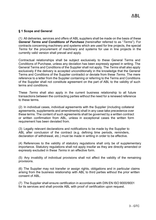#### <span id="page-2-0"></span>**§ 1 Scope and General**

(1) All deliveries, services and offers of ABL suppliers shall be made on the basis of these *General Terms and Conditions of Purchase* (hereinafter referred to as "*Terms*"). For contracts concerning machinery and systems which are used for line projects, the special *Terms* for the procurement of machinery and systems for use in line projects in the currently valid version shall prevail and apply.

Contractual relationships shall be subject exclusively to these General Terms and Conditions of Purchase, unless any deviation has been expressly agreed in writing. The General Terms and Conditions of the Supplier shall not apply. The *Terms* shall also apply exclusively if the delivery is accepted unconditionally in the knowledge that the General Terms and Conditions of the Supplier contradict or deviate from these *Terms*. The mere reference to a letter from the Supplier containing or referring to the Terms and Conditions of the Supplier shall not constitute agreement on the part of ABL to the validity of such terms and conditions.

These *Terms* shall also apply in the current business relationship to all future transactions between the contracting parties without the need for a renewed reference to these terms.

(2) In individual cases, individual agreements with the Supplier (including collateral agreements, supplements and amendments) shall in any case take precedence over these terms. The content of such agreements shall be governed by a written contract or written confirmation from ABL, unless in exceptional cases the written form requirement has been deviated from.

(3) Legally relevant declarations and notifications to be made by the Supplier to ABL after conclusion of the contract (e.g. defining time periods, reminders, declaration of withdrawal, etc.) must be made in writing in order to be effective.

(4) References to the validity of statutory regulations shall only be of supplementary importance. Statutory regulations shall not apply insofar as they are directly amended or expressly excluded in these *Terms* in an effective form.

(5) Any invalidity of individual provisions shall not affect the validity of the remaining provisions.

(6) The Supplier may not transfer or assign rights, obligations and in particular claims arising from the business relationship with ABL to third parties without the prior written consent of ABL.

(7) The Supplier shall ensure certification in accordance with DIN EN ISO 9000/9001 for its services and shall provide ABL with proof of certification upon request.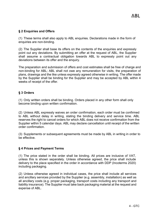# <span id="page-3-0"></span>**§ 2 Enquiries and Offers**

(1) These terms shall also apply to ABL enquiries. Declarations made in the form of enquiries are non-binding.

(2) The Supplier shall base its offers on the contents of the enquiries and expressly point out any deviations. By submitting an offer at the request of ABL, the Supplier shall assume a contractual obligation towards ABL to expressly point out any deviations between its offer and the enquiry.

The preparation and submission of offers and cost estimates shall be free of charge and non-binding for ABL; ABL shall not owe any remuneration for visits, the preparation of plans, drawings and the like unless expressly agreed otherwise in writing. The offer made by the Supplier shall be binding for the Supplier and may be accepted by ABL within 4 weeks of receipt of the offer.

## <span id="page-3-1"></span>**§ 3 Orders**

(1) Only written orders shall be binding. Orders placed in any other form shall only become binding upon written confirmation.

(2) Unless ABL expressly waives an order confirmation, each order must be confirmed to ABL without delay in writing, stating the binding delivery and service time. ABL reserves the right to cancel orders for which ABL does not receive confirmation from the Supplier within 5 calendar days. ABL may declare cancellation until receipt of the written order confirmation.

(3) Supplements or subsequent agreements must be made by ABL in writing in order to be effective.

#### <span id="page-3-2"></span>**§ 4 Prices and Payment Terms**

(1) The price stated in the order shall be binding. All prices are inclusive of VAT, unless this is shown separately. Unless otherwise agreed, the price shall include delivery to the place specified in the order in accordance with DDP (Incoterms 2020) including packaging.

(2) Unless otherwise agreed in individual cases, the price shall include all services and ancillary services provided by the Supplier (e.g. assembly, installation) as well as all ancillary costs (e.g. proper packaging, transport costs including any transport and liability insurance). The Supplier must take back packaging material at the request and expense of ABL.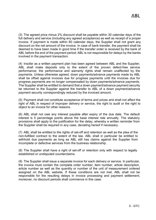(3) The agreed price minus 2% discount shall be payable within 30 calendar days of the full delivery and service (including any agreed acceptance) as well as receipt of a proper invoice. If payment is made within 60 calendar days, the Supplier shall not grant any discount on the net amount of the invoice. In case of bank transfer, the payment shall be deemed to have been made in good time if the transfer order is received by the bank of ABL before the end of the payment period; ABL is not responsible for delays by the banks involved in the payment transaction.

(4) Insofar as a written payment plan has been agreed between ABL and the Supplier, ABL shall make deposits only to the extent of the proven defect-free service performance; the performance and warranty rights shall remain unaffected by the payments. Unless otherwise agreed, down payments/advance payments made by ABL shall be offset against invoices due for progress payments until the invoices due for progress payments are no longer compensated by down payments/advance payments. The Supplier shall be entitled to demand that a down payment/advance payment security be returned to the Supplier against the transfer to ABL of a down payment/advance payment security correspondingly reduced by the invoiced amount.

(5) Payment shall not constitute acceptance of terms and prices and shall not affect the right of ABL in respect of improper delivery or service, the right to audit or the right to object to an invoice for other reasons.

(6) ABL shall not owe any interest payable after expiry of the due date. The default interest is 5 percentage points above the base interest rate annually. The statutory provisions shall apply to the justification for the delay, whereby a written reminder from the Supplier shall be required in any case, deviating hereof if necessary.

(7) ABL shall be entitled to the rights of set-off and retention as well as the plea of the non-fulfilled contract to the extent of the law. ABL shall in particular be entitled to withhold due payments as long as ABL still has claims against the Supplier from incomplete or defective services from the business relationship.

(8) The Supplier shall have a right of set-off or retention only with respect to legally established or undisputed counterclaims.

(9) The Supplier shall issue a separate invoice for each delivery or service. In particular, the invoice must contain the complete order number, item number, article description, article number as well as the quantity or number of the unit of measurement ordered assigned on the ABL website. If these conditions are not met, ABL shall not be responsible for the resulting delays in invoice processing and payment settlement; moreover, no discount periods shall commence in this case.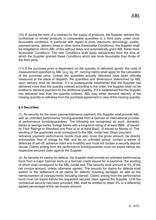(10) If, during the term of a contract for the supply of products, the Supplier delivers the contractual or similar products in comparable quantities to a third party under more favourable conditions, in particular with regard to price, discounts, technology, quality, payment terms, delivery times or other terms (hereinafter *Conditions*), the Supplier shall be obligated to inform ABL of this without delay and automatically grant ABL these more favourable *Conditions.* The new *Conditions* shall apply retroactively from the time at which the Supplier granted these *Conditions* which are more favourable than those of the third party.

(11) If the purchase price is dependent on the quantity of delivered goods, the units of measurement specified by ABL (e.g. kg, m², running metre) shall apply for the calculation of the purchase price. Unless the quantities actually delivered have been officially measured at the place of dispatch, the quantities and dimensions determined by ABL upon delivery shall be decisive. If it is subsequently established that the Supplier has delivered more than the quantity ordered according to the order, the Supplier shall not be entitled to demand payment for the additional quantity. If it is established that the Supplier has delivered less than the quantity ordered, ABL may either demand delivery of the missing quantity or withdraw from the purchase agreement in view of the missing quantity.

# <span id="page-5-0"></span>**§ 5 Securities**

(1) As security for the down payment/advance payment, the Supplier shall provide ABL with an unlimited performance bond/guarantee from a German or international provider of performance bonds/guarantees. The following are recognised as such: domestic banks or savings banks, foreign banks with a long-term rating of at least BBB-. (if issued by Fitch Ratings or Standard and Poor´s) or at least Baa3. (if issued by Moody´s). The wording of the guarantee must correspond to the ABL model text. Down payment /advance payment performance bonds must also cover the gross amount, be directly enforceable, free of charge for ABL and for an unlimited period, contain a waiver of defences of set-off, advance claim and invalidity and must not contain a security deposit clause. Claims arising from the performance bond/guarantee must not expire before the respective secured claim against the Supplier.

(2) As security for claims for defects, the Supplier shall provide an unlimited performance bond from a major German bank or a German credit insurer for acceptance, the wording of which shall correspond to the ABL model text. The security shall amount to 5% of the net invoice amount, unless otherwise agreed. The security for claims for defects shall extend to the settlement of all claims for defects including damages as well as the reimbursement of overpayments including interest. Claims arising from the performance bond must not expire before the respective secured claim against the Supplier. Until the contractual security has been provided, ABL shall be entitled to retain 5% or a differently agreed percentage of the net invoice amount.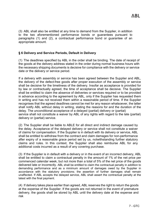(3) ABL shall also be entitled at any time to demand from the Supplier, in addition to the two aforementioned performance bonds or guarantees pursuant to paragraphs (1) and (2), a contractual performance bond or guarantee of an appropriate amount.

#### <span id="page-6-0"></span>**§ 6 Delivery and Service Periods, Default in Delivery**

(1) The deadlines specified by ABL in the order shall be binding. The date of receipt of the goods at the delivery address stated in the order during normal business hours with the necessary shipping documents is decisive for compliance with the delivery or service date or the delivery or service period.

If a delivery with assembly or service has been agreed between the Supplier and ABL, the delivery of the defect-free goods after proper execution of the assembly or service shall be decisive for the timeliness of the delivery. Insofar as acceptance is provided for by law or contractually agreed, the time of acceptance shall be decisive. The Supplier shall be entitled to claim the absence of deliveries or services required or to be provided in advance according to the agreement by ABL, only if the Supplier has requested them in writing and has not received them within a reasonable period of time. If the Supplier recognises that the agreed deadlines cannot be met for any reason whatsoever, the latter shall notify ABL without delay in writing, stating the reasons for and the duration of the delay. The unconditional acceptance of a delayed (partial) delivery or (partial) service shall not constitute a waiver by ABL of any rights with regard to the late (partial) delivery or (partial) service.

(2) The Supplier shall be liable to ABLE for all direct and indirect damage caused by the delay. Acceptance of the delayed delivery or service shall not constitute a waiver of claims for compensation. If the Supplier is in default with its delivery or service, ABL shall be entitled to withdraw from the contract and claim damages for non-performance after expiry of a reasonable grace period set by us, notwithstanding further statutory claims and rules. In this context, the Supplier shall also reimburse ABL for any additional costs incurred as a result of any covering purchase.

(3) If the Supplier is in default with a delivery or in the event of an incorrect delivery, ABL shall be entitled to claim a contractual penalty in the amount of 1% of the net price per commenced calendar week, but not more than a total of 5% of the net price of the goods delivered late or incorrectly. ABL shall be entitled to claim the contractual penalty in addition to demanding performance and as a minimum amount of damages owed by the Supplier in accordance with the statutory provisions; the assertion of further damages shall remain unaffected. If ABL accepts the delayed service, ABL shall assert the contractual penalty at the latest with the final payment.

(4) If delivery takes place earlier than agreed, ABL reserves the right to return the goods at the expense of the Supplier. If the goods are not returned in the event of premature delivery, the goods shall be stored by ABL until the delivery date at the expense and risk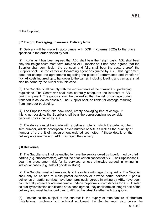of the Supplier.

# <span id="page-7-0"></span>**§ 7 Freight, Packaging, Insurance, Delivery Note**

(1) Delivery will be made in accordance with DDP (Incoterms 2020) to the place specified in the order placed by ABL.

(2) Insofar as it has been agreed that ABL shall bear the freight costs, ABL shall bear only the freight costs most favourable to ABL. Insofar as it has been agreed that the Supplier shall commission the transport and ABL shall bear the costs thereof, the Supplier shall use the carrier or forwarding agent designated by ABL. This agreement does not change the agreements regarding the place of performance and transfer of risk. All costs incurred up to handover to the carrier, including loading and carriage, shall also be borne by the Supplier in this case.

(3) The Supplier shall comply with the requirements of the current ABL packaging regulations. The Contractor shall also carefully safeguard the interests of ABL during shipment. The goods should be packed so that the risk of damage during transport is as low as possible. The Supplier shall be liable for damage resulting from improper packaging.

(4) The Supplier must take back used, empty packaging free of charge. If this is not possible, the Supplier shall bear the corresponding reasonable disposal costs incurred by ABL.

(5) The delivery must be made with a delivery note on which the order number, item number, article description, article number of ABL as well as the quantity or number of the unit of measurement ordered are noted. If these details or the delivery note are missing, ABL may reject the delivery.

# <span id="page-7-1"></span>**§ 8 Deliveries**

(1) The Supplier shall not be entitled to have the service owed by it performed by third parties (e.g. subcontractors) without the prior written consent of ABL. The Supplier shall bear the procurement risk for its services, unless otherwise agreed in writing in individual cases (e.g. sale of goods in stock).

(2) The Supplier must adhere exactly to the orders with regard to quantity. The Supplier shall only be entitled to make partial deliveries or provide partial services if partial deliveries or partial services have been previously agreed in writing by ABL, have been contractually agreed or are reasonable under exceptional circumstances for ABL. Insofar as quality verification certificates have been agreed, they shall form an integral part of the delivery and must be handed over to ABL at the latest together with the goods.

(3) Insofar as the subject of the contract is the supply or manufacture of structural installations, machinery and technical equipment, the Supplier must also deliver the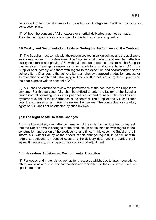corresponding technical documentation including circuit diagrams, functional diagrams and construction plans.

(4) Without the consent of ABL, excess or shortfall deliveries may not be made. Acceptance of goods is always subject to quality, condition and quantity.

## **§ 9 Quality and Documentation, Reviews During the Performance of the Contract**

(1) The Supplier must comply with the recognised technical guidelines and the applicable safety regulations for its deliveries. The Supplier shall perform and maintain effective quality assurance and provide ABL with evidence upon request. Insofar as the Supplier has received drawings, samples or other regulations or documents from ABL, the Supplier shall comply with them with regard to the execution and characteristics of the delivery item. Changes to the delivery item, an already approved production process or its relocation to another site shall require timely written notification by the Supplier and the prior express written consent of ABL.

(2) ABL shall be entitled to review the performance of the contract by the Supplier at any time. For this purpose, ABL shall be entitled to enter the factory of the Supplier during normal operating hours after prior notification and to inspect the facilities and systems relevant for the performance of the contract. The Supplier and ABL shall each bear the expenses arising from the review themselves. The contractual or statutory rights of ABL shall not be affected by such reviews.

#### <span id="page-8-0"></span>**§ 10 The Right of ABL to Make Changes**

ABL shall be entitled, even after confirmation of the order by the Supplier, to request that the Supplier make changes to the products (in particular also with regard to the construction and design of the products) at any time. In this case, the Supplier shall inform ABL without delay of the effects of this change request, in particular with regard to additional or reduced costs and the delivery date, and the parties shall agree, if necessary, on an appropriate contractual adjustment.

#### <span id="page-8-1"></span>**§ 11 Hazardous Substances, Environmental Protection**

(1) For goods and materials as well as for processes which, due to laws, regulations, other provisions or due to their composition and their effect on the environment, require special treatment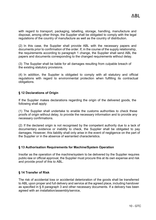with regard to transport, packaging, labelling, storage, handling, manufacture and disposal, among other things, the Supplier shall be obligated to comply with the legal regulations of the country of manufacture as well as the country of distribution.

(2) In this case, the Supplier shall provide ABL with the necessary papers and documents prior to confirmation of the order. If, in the course of the supply relationship, the requirements according to paragraph 1 change, the Supplier shall send ABL the papers and documents corresponding to the changed requirements without delay.

(3) The Supplier shall be liable for all damages resulting from culpable breach of the existing statutory provisions.

(4) In addition, the Supplier is obligated to comply with all statutory and official regulations with regard to environmental protection when fulfilling its contractual obligations.

## <span id="page-9-0"></span>**§ 12 Declarations of Origin**

If the Supplier makes declarations regarding the origin of the delivered goods, the following shall apply:

(1) The Supplier shall undertake to enable the customs authorities to check these proofs of origin without delay, to provide the necessary information and to provide any necessary confirmations.

(2) If the declared origin is not recognised by the competent authority due to a lack of documentary evidence or inability to check, the Supplier shall be obligated to pay damages. However, this liability shall only arise in the event of negligence on the part of the Supplier or in the absence of warranted characteristics.

#### <span id="page-9-1"></span>**§ 13 Authorisation Requirements for Machine/System Operation**

Insofar as the operation of the machine/system to be delivered by the Supplier requires public-law or official approval, the Supplier must procure this at its own expense and risk and provide proof of this to ABL.

#### <span id="page-9-2"></span>**§ 14 Transfer of Risk**

The risk of accidental loss or accidental deterioration of the goods shall be transferred to ABL upon proper and full delivery and service at the agreed place, including handover as specified in § 8 paragraph 3 and other necessary documents. If a delivery has been agreed with an installation/assembly/service,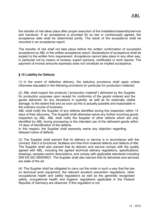the transfer of risk takes place after proper execution of the installation/assembly/service and handover. If an acceptance is provided for by law or contractually agreed, the acceptance date shall be determined jointly. The result of the acceptance shall be recorded in an acceptance report.

The transfer of risk shall not take place before the written confirmation of successful acceptance by ABL in the written acceptance report. Declarations of acceptance shall be subject to the written form requirement. Acceptance cannot take place in any other way, in particular not by means of reviews, expert opinions, certificates or work reports. The payment of invoice amounts expressly does not constitute an implied acceptance.

## <span id="page-10-0"></span>**§ 15 Liability for Defects**

(1) In the event of defective delivery, the statutory provisions shall apply unless otherwise stipulated in the following provisions (in particular for production material).

(2) ABL shall inspect the products ("production material") delivered by the Supplier for production purposes upon receipt for conformity of the goods ordered and the goods delivered, for any deviations in quantity, as well as for externally visible damage, to the extent that and as soon as this is actually possible and reasonable in the ordinary course of business.

ABL shall notify the Supplier of any defects identified during this inspection within 14 days of their discovery. The Supplier shall otherwise waive any further incoming goods inspection by ABL. ABL shall notify the Supplier of other defects which are only identified by ABL during processing or the intended use of the delivered goods within 14 days of identification of the defects.

In this respect, the Supplier shall expressly waive any objection regarding delayed notice of defects.

(3) The Supplier shall warrant that its delivery or service is in accordance with the contract, that it is functional, faultless and free from material defects and defects of title. The Supplier shall also warrant that its delivery and service comply with the quality agreed with ABL, including the agreed technical delivery regulations, specifications, drawings, samples and/or descriptions, and comply with applicable standards including DIN EN ISO 9000/9001. The Supplier shall also warrant that its deliveries and services are state of the art.

(4) The Supplier shall be obligated to carry out the order in such a way that the law on technical work equipment, the relevant accident prevention regulations, other occupational health and safety regulations as well as the generally recognised safety, occupational health and hygienic regulations applicable in the Federal Republic of Germany are observed. If this regulation is not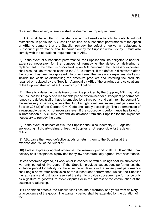observed, the delivery or service shall be deemed improperly rendered.

(5) ABL shall be entitled to the statutory rights based on liability for defects without restrictions. In particular, ABL shall be entitled, as subsequent performance at the option of ABL, to demand that the Supplier remedy the defect or deliver a replacement. Subsequent performance shall be carried out by the Supplier without delay. It must also comply with the operational requirements of ABL.

(6) In the event of subsequent performance, the Supplier shall be obligated to bear all expenses necessary for the purpose of remedying the defect or delivering a replacement. If the defect is discovered by an ABL customer, the necessary expenses shall also include transport costs to the ABL customer. If the defect is discovered after the product has been incorporated into other items, the necessary expenses shall also include the costs of dismantling the defective products and installing the products repaired or replaced by the Supplier. Approval by ABL of the drawings and calculations of the Supplier shall not affect its warranty obligation.

(7) If there is a defect in the delivery or service provided by the Supplier, ABL may, after the unsuccessful expiry of a reasonable period determined for subsequent performance, remedy the defect itself or have it remedied by a third party and claim reimbursement for the necessary expenses, unless the Supplier rightly refuses subsequent performance. Section 323 (2) of the German Civil Code shall apply accordingly. The determination of a reasonable period is not necessary even if the subsequent performance has failed or is unreasonable. ABL may demand an advance from the Supplier for the expenses necessary to remedy the defect.

(8) In the event of defects of title, the Supplier shall also indemnify ABL against any existing third-party claims, unless the Supplier is not responsible for the defect of title.

(9) ABL can either keep defective goods or return them to the Supplier at the expense and risk of the Supplier.

(10) Unless expressly agreed otherwise, the warranty period shall be 36 months from delivery or, if acceptance is provided for by law or contractually agreed, from acceptance.

Unless otherwise agreed, all work on or in connection with buildings shall be subject to a warranty period of five years. If the Supplier provides subsequent performance, the limitation period for liability for the absence of defects in the subsequent performance shall begin anew after conclusion of the subsequent performance, unless the Supplier has expressly and justifiably reserved the right to provide subsequent performance only as a gesture of goodwill, to avoid disputes or in the interest of the continuation of the business relationship.

(11) For hidden defects, the Supplier shall assume a warranty of 5 years from delivery or acceptance of the goods. The warranty period shall be extended by the duration of the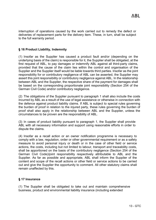interruption of operations caused by the work carried out to remedy the defect or deliveries of replacement parts for the delivery item. These, in turn, shall be subject to the full warranty period.

#### <span id="page-12-0"></span>**§ 16 Product Liability, Indemnity**

(1) Insofar as the Supplier has caused a product fault and/or (depending on the underlying basis of the claim) is responsible for it, the Supplier shall be obligated, at the first request of ABL, to pay damages or indemnify ABL against all third-party claims, provided that the cause of the claim lies within the control and organisation of the Supplier and the Supplier itself would be liable towards third parties. Insofar as the joint responsibility for or contributory negligence of ABL can be asserted, the Supplier may assert this joint responsibility or contributory negligence against ABL. In the relationship between ABL and the Supplier, the respective share of the payment for damages shall be based on the corresponding proportionate joint responsibility (Section 254 of the German Civil Code) and/or contributory negligence.

(2) The obligations of the Supplier pursuant to paragraph 1 shall also include the costs incurred by ABL as a result of the use of legal assistance or otherwise in connection with the defence against product liability claims. If ABL is subject to special rules governing the burden of proof in relation to the injured party, these rules governing the burden of proof shall also apply in the relationship between ABL and the Supplier, unless the circumstances to be proven are the responsibility of ABL.

(3) In cases of product liability pursuant to paragraph 1, the Supplier shall provide ABL with all necessary information and support using reasonable efforts in order to dispute the claims.

(4) Insofar as a recall action or an owner notification programme is necessary to comply with a law, regulation, order or other governmental requirement or as a safety measure to avoid personal injury or death or in the case of other field or service actions, the costs, including but not limited to labour, transport and traceability costs, shall be apportioned on the basis of the contributory negligence (Section 254 of the German Civil Code)/joint responsibility respectively attributable to ABL and the Supplier. As far as possible and appropriate, ABL shall inform the Supplier of the content and scope of the recall actions or other field or service actions to be carried out and give the Supplier the opportunity to comment. All other statutory claims shall remain unaffected by this.

#### <span id="page-12-1"></span>**§ 17 Insurance**

(1) The Supplier shall be obligated to take out and maintain comprehensive business, product and environmental liability insurance (including extended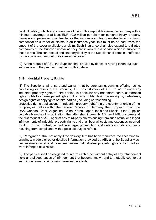product liability, which also covers recall risk) with a reputable insurance company with a minimum coverage of at least EUR 10.0 million per claim for personal injury, property damage and pecuniary loss. Insofar as the insurance contract provides for a maximum compensation sum for all claims in an insurance year, this must be at least twice the amount of the cover available per claim. Such insurance shall also extend to affiliated companies of the Supplier insofar as they are involved in a service which is subject to these terms. The contractual and statutory liability of the Supplier shall remain unaffected by the scope and amount of its insurance cover.

(2) At the request of ABL, the Supplier shall provide evidence of having taken out such insurance and the premium payment without delay.

# <span id="page-13-0"></span>**§ 18 Industrial Property Rights**

(1) The Supplier shall ensure and warrant that by purchasing, owning, offering, using, processing or reselling the products, ABL or customers of ABL do not infringe any industrial property rights of third parties, in particular any trademark rights, corporation rights, rights to a name, patent rights, utility model rights, design patent rights, trade dress, design rights or copyrights of third parties (including corresponding

protective rights applications) ("industrial property rights") in the country of origin of the Supplier, as well as within the Federal Republic of Germany, the European Union, the USA, Canada, Brazil, Argentina, China, Korea, Japan, India and Russia. If the Supplier culpably breaches this obligation, the latter shall indemnify ABL and ABL customers at the first request of ABL against any third-party claims arising from such actual or alleged infringements of industrial property rights and shall bear all costs and expenses incurred by ABL in this context, in particular legal prosecution and defence costs and costs resulting from compliance with a possible duty to refrain.

(2) Paragraph 1 shall not apply if the delivery item has been manufactured according to drawings, models or other detailed information provided by ABL and the Supplier was neither aware nor should have been aware that industrial property rights of third parties were infringed as a result.

(3) The parties shall be obligated to inform each other without delay of any infringement risks and alleged cases of infringement that become known and to mutually counteract such infringement claims using reasonable efforts.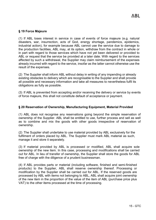## <span id="page-14-0"></span>**§ 19 Force Majeure**

(1) If ABL loses interest in service in case of events of force majeure (e.g. natural disasters, war, insurrection, acts of God, energy shortage, pandemics, epidemics, industrial action), for example because ABL cannot use the service due to damage to the production facilities, ABL may, at its option, withdraw from the contract in whole or in part with regard to those services which have not yet been delivered or provided to ABL or request that the service be provided at a later date. With regard to the services affected by such a withdrawal, the Supplier may claim reimbursement of the expenses already incurred with regard to the service, insofar as the latter cannot otherwise use the result of the expenses.

(2) The Supplier shall inform ABL without delay in writing of any impending or already existing obstacles to delivery which are recognisable to the Supplier and shall provide all possible and necessary information and take all measures to nevertheless fulfil its obligations as fully as possible.

(3) If ABL is prevented from accepting and/or receiving the delivery or service by events of force majeure, this shall not constitute default of acceptance or payment.

## <span id="page-14-1"></span>**§ 20 Reservation of Ownership, Manufacturing Equipment, Material Provided**

(1) ABL does not recognise any reservations going beyond the simple reservation of ownership of the Supplier. ABL shall be entitled to use, further process and sell as well as to combine and mix the goods with other goods irrespective of reservation of ownership.

(2) The Supplier shall undertake to use material provided by ABL exclusively for the fulfilment of orders placed by ABL. The Supplier must mark ABL material as such, manage it and store it separately.

(3) If material provided by ABL is processed or modified, ABL shall acquire sole ownership of the new item. In this case, processing and modifications shall be carried out for ABL. In lieu of transfer of ownership, the Supplier shall store the goods for ABL free of charge with the diligence of a prudent businessman.

(4) If ABL provides parts or material (including software, finished and semi-finished products) to the Supplier, ABL shall reserve ownership thereof. Processing or modification by the Supplier shall be carried out for ABL. If the reserved goods are processed by ABL with items not belonging to ABL, ABL shall acquire joint ownership of the new item in the proportion of the value of the item of ABL (purchase price plus VAT) to the other items processed at the time of processing.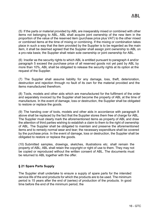(5) If the parts or material provided by ABL are inseparably mixed or combined with other items not belonging to ABL, ABL shall acquire joint ownership of the new item in the proportion of the value of the reserved item (purchase price plus VAT) to the other mixed or combined items at the time of mixing or combining. If the mixing or combination takes place in such a way that the item provided by the Supplier is to be regarded as the main item, it shall be deemed agreed that the Supplier shall assign joint ownership to ABL on a pro-rata basis; the Supplier shall retain sole ownership or joint ownership for ABL.

(6) Insofar as the security rights to which ABL is entitled pursuant to paragraph 4 and/or paragraph 5 exceed the purchase price of all reserved goods not yet paid by ABL by more than 10%, ABL shall be obligated to release the security rights at its option at the request of the Supplier.

(7) The Supplier shall assume liability for any damage, loss, theft, deterioration, destruction and rejection through no fault of its own for the material provided and the items manufactured therefrom.

(8) Tools, models and other aids which are manufactured for the fulfilment of the order and separately invoiced by the Supplier shall become the property of ABL at the time of manufacture. In the event of damage, loss or destruction, the Supplier shall be obligated to restore or replace the goods.

(9) The handing over of tools, models and other aids in accordance with paragraph 8 above shall be replaced by the fact that the Supplier stores them free of charge for ABL. The Supplier must clearly mark the aforementioned items as property of ABL and draw the attention of third parties wishing to establish a claim to them to the right of ownership of ABL. The Supplier shall be obligated to maintain and preserve the aforementioned items and to remedy normal wear and tear; the necessary expenditure shall be covered by the purchase price. In the event of damage, loss or destruction, the Supplier shall be obligated to restore or replace the goods.

(10) Submitted samples, drawings, sketches, illustrations etc. shall remain the property of ABL; ABL shall retain the copyright or right of use to them. They may not be copied or reproduced without the written consent of ABL. The documents must be returned to ABL together with the offer.

# <span id="page-15-0"></span>**§ 21 Spare Parts Supply**

The Supplier shall undertake to ensure a supply of spare parts for the intended service life of the end products for which the products are to be used. The minimum period is 15 years after the end of (series) of production of the products. In good time before the end of the minimum period, the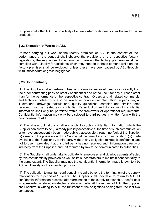Supplier shall offer ABL the possibility of a final order for its needs after the end of series production

#### <span id="page-16-0"></span>**§ 22 Execution of Works at ABL**

Persons carrying out work at the factory premises of ABL in the context of the performance of the contract shall observe the provisions of the respective factory regulations; the regulations for entering and leaving the factory premises must be complied with. Liability for accidents which may happen to these persons while on the factory premises shall be excluded, unless these have been caused by ABL through wilful misconduct or gross negligence.

## <span id="page-16-1"></span>**§ 23 Confidentiality**

(1) The Supplier shall undertake to treat all information received directly or indirectly from the other contracting party as strictly confidential and not to use it for any purpose other than for the performance of the respective contract. Orders and all related commercial and technical details must also be treated as confidential information. In particular, all illustrations, drawings, calculations, quality guidelines, samples and similar items received must be treated as confidential. Reproduction and disclosure of confidential information shall only be permitted within the framework of operational requirements. Confidential information may only be disclosed to third parties in written form with the prior consent of ABL.

(2) The above obligations shall not apply to such confidential information which the Supplier can prove to be (i) already publicly accessible at the time of such communication or to have subsequently been made publicly accessible through no fault of the Supplier; (ii) already in the possession of the Supplier at the time of such communication; (iii) made available to the Supplier by a third party without any obligation to keep it confidential and not to use it, provided that this third party has not received such information directly or indirectly from the Supplier; and (iv) required by law to be communicated to authorities.

(3) The Supplier shall undertake to obligate its employees and vicarious agents affected by this confidentiality provision as well as its subcontractors to maintain confidentiality to the same extent. The Supplier may use the confidential information made known to it by ABL exclusively for the intended purpose.

(4) The obligation to maintain confidentiality is valid beyond the termination of the supply relationship for a period of 10 years. The Supplier shall undertake to return to ABL all confidential information received after termination of the supply relationship, insofar as it is represented or stored on electronic storage media. At the request of ABL, the Supplier shall confirm in writing to ABL the fulfilment of the obligations arising from the last two sentences.